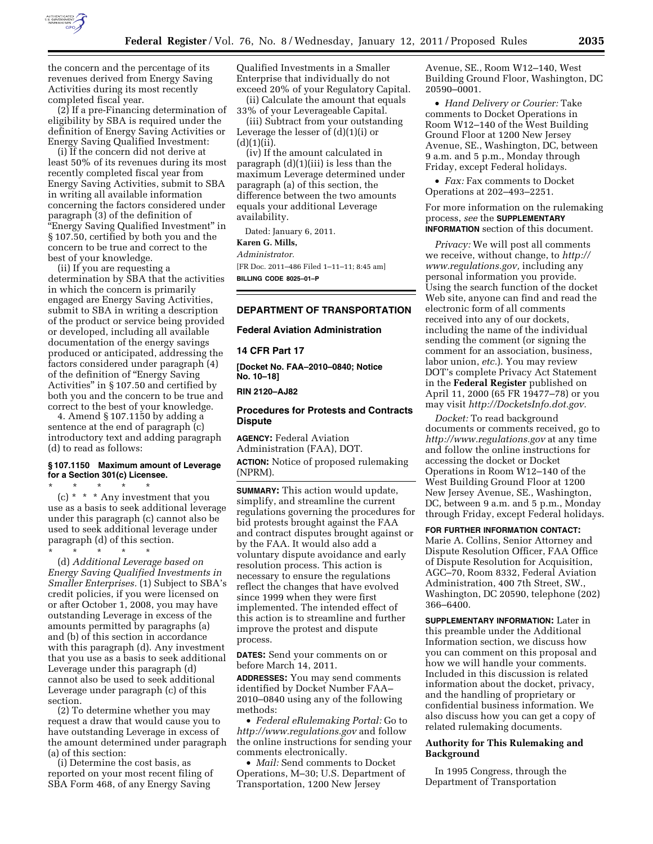

the concern and the percentage of its revenues derived from Energy Saving Activities during its most recently completed fiscal year.

(2) If a pre-Financing determination of eligibility by SBA is required under the definition of Energy Saving Activities or Energy Saving Qualified Investment:

(i) If the concern did not derive at least 50% of its revenues during its most recently completed fiscal year from Energy Saving Activities, submit to SBA in writing all available information concerning the factors considered under paragraph (3) of the definition of ''Energy Saving Qualified Investment'' in § 107.50, certified by both you and the concern to be true and correct to the best of your knowledge.

(ii) If you are requesting a determination by SBA that the activities in which the concern is primarily engaged are Energy Saving Activities, submit to SBA in writing a description of the product or service being provided or developed, including all available documentation of the energy savings produced or anticipated, addressing the factors considered under paragraph (4) of the definition of ''Energy Saving Activities'' in § 107.50 and certified by both you and the concern to be true and correct to the best of your knowledge.

4. Amend § 107.1150 by adding a sentence at the end of paragraph (c) introductory text and adding paragraph (d) to read as follows:

# **§ 107.1150 Maximum amount of Leverage for a Section 301(c) Licensee.**

\* \* \* \* \* (c) \* \* \* Any investment that you use as a basis to seek additional leverage under this paragraph (c) cannot also be used to seek additional leverage under paragraph (d) of this section.

\* \* \* \* \* (d) *Additional Leverage based on Energy Saving Qualified Investments in Smaller Enterprises.* (1) Subject to SBA's credit policies, if you were licensed on or after October 1, 2008, you may have outstanding Leverage in excess of the amounts permitted by paragraphs (a) and (b) of this section in accordance with this paragraph (d). Any investment that you use as a basis to seek additional Leverage under this paragraph (d) cannot also be used to seek additional Leverage under paragraph (c) of this section.

(2) To determine whether you may request a draw that would cause you to have outstanding Leverage in excess of the amount determined under paragraph (a) of this section:

(i) Determine the cost basis, as reported on your most recent filing of SBA Form 468, of any Energy Saving

Qualified Investments in a Smaller Enterprise that individually do not exceed 20% of your Regulatory Capital.

(ii) Calculate the amount that equals 33% of your Leverageable Capital.

(iii) Subtract from your outstanding Leverage the lesser of (d)(1)(i) or  $(d)(1)(ii)$ .

(iv) If the amount calculated in paragraph (d)(1)(iii) is less than the maximum Leverage determined under paragraph (a) of this section, the difference between the two amounts equals your additional Leverage availability.

Dated: January 6, 2011.

**Karen G. Mills,** 

*Administrator.* 

[FR Doc. 2011–486 Filed 1–11–11; 8:45 am] **BILLING CODE 8025–01–P** 

## **DEPARTMENT OF TRANSPORTATION**

#### **Federal Aviation Administration**

**14 CFR Part 17** 

**[Docket No. FAA–2010–0840; Notice No. 10–18]** 

**RIN 2120–AJ82** 

## **Procedures for Protests and Contracts Dispute**

**AGENCY:** Federal Aviation Administration (FAA), DOT. **ACTION:** Notice of proposed rulemaking (NPRM).

**SUMMARY:** This action would update, simplify, and streamline the current regulations governing the procedures for bid protests brought against the FAA and contract disputes brought against or by the FAA. It would also add a voluntary dispute avoidance and early resolution process. This action is necessary to ensure the regulations reflect the changes that have evolved since 1999 when they were first implemented. The intended effect of this action is to streamline and further improve the protest and dispute process.

**DATES:** Send your comments on or before March 14, 2011.

**ADDRESSES:** You may send comments identified by Docket Number FAA– 2010–0840 using any of the following methods:

• *Federal eRulemaking Portal:* Go to *<http://www.regulations.gov>* and follow the online instructions for sending your comments electronically.

• *Mail:* Send comments to Docket Operations, M–30; U.S. Department of Transportation, 1200 New Jersey

Avenue, SE., Room W12–140, West Building Ground Floor, Washington, DC 20590–0001.

• *Hand Delivery or Courier:* Take comments to Docket Operations in Room W12–140 of the West Building Ground Floor at 1200 New Jersey Avenue, SE., Washington, DC, between 9 a.m. and 5 p.m., Monday through Friday, except Federal holidays.

• *Fax:* Fax comments to Docket Operations at 202–493–2251.

For more information on the rulemaking process, *see* the **SUPPLEMENTARY INFORMATION** section of this document.

*Privacy:* We will post all comments we receive, without change, to *[http://](http://www.regulations.gov)  [www.regulations.gov,](http://www.regulations.gov)* including any personal information you provide. Using the search function of the docket Web site, anyone can find and read the electronic form of all comments received into any of our dockets, including the name of the individual sending the comment (or signing the comment for an association, business, labor union, *etc.*). You may review DOT's complete Privacy Act Statement in the **Federal Register** published on April 11, 2000 (65 FR 19477–78) or you may visit *[http://DocketsInfo.dot.gov.](http://DocketsInfo.dot.gov)* 

*Docket:* To read background documents or comments received, go to *<http://www.regulations.gov>* at any time and follow the online instructions for accessing the docket or Docket Operations in Room W12–140 of the West Building Ground Floor at 1200 New Jersey Avenue, SE., Washington, DC, between 9 a.m. and 5 p.m., Monday through Friday, except Federal holidays.

### **FOR FURTHER INFORMATION CONTACT:**

Marie A. Collins, Senior Attorney and Dispute Resolution Officer, FAA Office of Dispute Resolution for Acquisition, AGC–70, Room 8332, Federal Aviation Administration, 400 7th Street, SW., Washington, DC 20590, telephone (202) 366–6400.

**SUPPLEMENTARY INFORMATION:** Later in this preamble under the Additional Information section, we discuss how you can comment on this proposal and how we will handle your comments. Included in this discussion is related information about the docket, privacy, and the handling of proprietary or confidential business information. We also discuss how you can get a copy of related rulemaking documents.

# **Authority for This Rulemaking and Background**

In 1995 Congress, through the Department of Transportation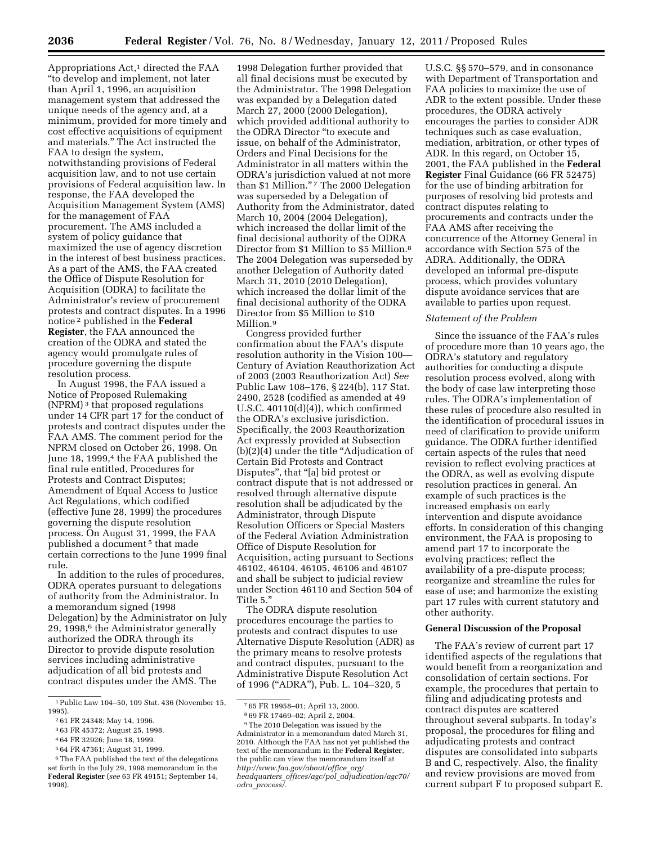Appropriations  $Act<sup>1</sup>$  directed the FAA ''to develop and implement, not later than April 1, 1996, an acquisition management system that addressed the unique needs of the agency and, at a minimum, provided for more timely and cost effective acquisitions of equipment and materials.'' The Act instructed the FAA to design the system, notwithstanding provisions of Federal acquisition law, and to not use certain provisions of Federal acquisition law. In response, the FAA developed the Acquisition Management System (AMS) for the management of FAA procurement. The AMS included a system of policy guidance that maximized the use of agency discretion in the interest of best business practices. As a part of the AMS, the FAA created the Office of Dispute Resolution for Acquisition (ODRA) to facilitate the Administrator's review of procurement protests and contract disputes. In a 1996 notice 2 published in the **Federal Register**, the FAA announced the creation of the ODRA and stated the agency would promulgate rules of procedure governing the dispute resolution process.

In August 1998, the FAA issued a Notice of Proposed Rulemaking (NPRM) 3 that proposed regulations under 14 CFR part 17 for the conduct of protests and contract disputes under the FAA AMS. The comment period for the NPRM closed on October 26, 1998. On June 18, 1999,<sup>4</sup> the FAA published the final rule entitled, Procedures for Protests and Contract Disputes; Amendment of Equal Access to Justice Act Regulations, which codified (effective June 28, 1999) the procedures governing the dispute resolution process. On August 31, 1999, the FAA published a document<sup>5</sup> that made certain corrections to the June 1999 final rule.

In addition to the rules of procedures, ODRA operates pursuant to delegations of authority from the Administrator. In a memorandum signed (1998 Delegation) by the Administrator on July 29, 1998,<sup>6</sup> the Administrator generally authorized the ODRA through its Director to provide dispute resolution services including administrative adjudication of all bid protests and contract disputes under the AMS. The

5 64 FR 47361; August 31, 1999.

1998 Delegation further provided that all final decisions must be executed by the Administrator. The 1998 Delegation was expanded by a Delegation dated March 27, 2000 (2000 Delegation), which provided additional authority to the ODRA Director ''to execute and issue, on behalf of the Administrator, Orders and Final Decisions for the Administrator in all matters within the ODRA's jurisdiction valued at not more than \$1 Million."<sup>7</sup> The 2000 Delegation was superseded by a Delegation of Authority from the Administrator, dated March 10, 2004 (2004 Delegation), which increased the dollar limit of the final decisional authority of the ODRA Director from \$1 Million to \$5 Million.8 The 2004 Delegation was superseded by another Delegation of Authority dated March 31, 2010 (2010 Delegation), which increased the dollar limit of the final decisional authority of the ODRA Director from \$5 Million to \$10 Million.9

Congress provided further confirmation about the FAA's dispute resolution authority in the Vision 100— Century of Aviation Reauthorization Act of 2003 (2003 Reauthorization Act) *See*  Public Law 108–176, § 224(b), 117 Stat. 2490, 2528 (codified as amended at 49 U.S.C.  $40110(d)(4)$ , which confirmed the ODRA's exclusive jurisdiction. Specifically, the 2003 Reauthorization Act expressly provided at Subsection (b)(2)(4) under the title ''Adjudication of Certain Bid Protests and Contract Disputes'', that ''[a] bid protest or contract dispute that is not addressed or resolved through alternative dispute resolution shall be adjudicated by the Administrator, through Dispute Resolution Officers or Special Masters of the Federal Aviation Administration Office of Dispute Resolution for Acquisition, acting pursuant to Sections 46102, 46104, 46105, 46106 and 46107 and shall be subject to judicial review under Section 46110 and Section 504 of Title 5.''

The ODRA dispute resolution procedures encourage the parties to protests and contract disputes to use Alternative Dispute Resolution (ADR) as the primary means to resolve protests and contract disputes, pursuant to the Administrative Dispute Resolution Act of 1996 (''ADRA''), Pub. L. 104–320, 5

U.S.C. §§ 570–579, and in consonance with Department of Transportation and FAA policies to maximize the use of ADR to the extent possible. Under these procedures, the ODRA actively encourages the parties to consider ADR techniques such as case evaluation, mediation, arbitration, or other types of ADR. In this regard, on October 15, 2001, the FAA published in the **Federal Register** Final Guidance (66 FR 52475) for the use of binding arbitration for purposes of resolving bid protests and contract disputes relating to procurements and contracts under the FAA AMS after receiving the concurrence of the Attorney General in accordance with Section 575 of the ADRA. Additionally, the ODRA developed an informal pre-dispute process, which provides voluntary dispute avoidance services that are available to parties upon request.

#### *Statement of the Problem*

Since the issuance of the FAA's rules of procedure more than 10 years ago, the ODRA's statutory and regulatory authorities for conducting a dispute resolution process evolved, along with the body of case law interpreting those rules. The ODRA's implementation of these rules of procedure also resulted in the identification of procedural issues in need of clarification to provide uniform guidance. The ODRA further identified certain aspects of the rules that need revision to reflect evolving practices at the ODRA, as well as evolving dispute resolution practices in general. An example of such practices is the increased emphasis on early intervention and dispute avoidance efforts. In consideration of this changing environment, the FAA is proposing to amend part 17 to incorporate the evolving practices; reflect the availability of a pre-dispute process; reorganize and streamline the rules for ease of use; and harmonize the existing part 17 rules with current statutory and other authority.

#### **General Discussion of the Proposal**

The FAA's review of current part 17 identified aspects of the regulations that would benefit from a reorganization and consolidation of certain sections. For example, the procedures that pertain to filing and adjudicating protests and contract disputes are scattered throughout several subparts. In today's proposal, the procedures for filing and adjudicating protests and contract disputes are consolidated into subparts B and C, respectively. Also, the finality and review provisions are moved from current subpart F to proposed subpart E.

<sup>1</sup>Public Law 104–50, 109 Stat. 436 (November 15, 1995).

<sup>2</sup> 61 FR 24348; May 14, 1996.

<sup>3</sup> 63 FR 45372; August 25, 1998.

<sup>4</sup> 64 FR 32926; June 18, 1999.

<sup>6</sup>The FAA published the text of the delegations set forth in the July 29, 1998 memorandum in the **Federal Register** (*see* 63 FR 49151; September 14, 1998).

<sup>7</sup> 65 FR 19958–01; April 13, 2000.

<sup>8</sup> 69 FR 17469–02; April 2, 2004.

<sup>9</sup>The 2010 Delegation was issued by the Administrator in a memorandum dated March 31, 2010. Although the FAA has not yet published the text of the memorandum in the **Federal Register**, the public can view the memorandum itself at *[http://www.faa.gov/about/office](http://www.faa.gov/about/office_org/headquarters_offices/agc/pol_adjudication/agc70/odra_process/)*\_*org/ headquarters*\_*offices/agc/pol*\_*[adjudication/agc70/](http://www.faa.gov/about/office_org/headquarters_offices/agc/pol_adjudication/agc70/odra_process/) odra*\_*[process/.](http://www.faa.gov/about/office_org/headquarters_offices/agc/pol_adjudication/agc70/odra_process/)*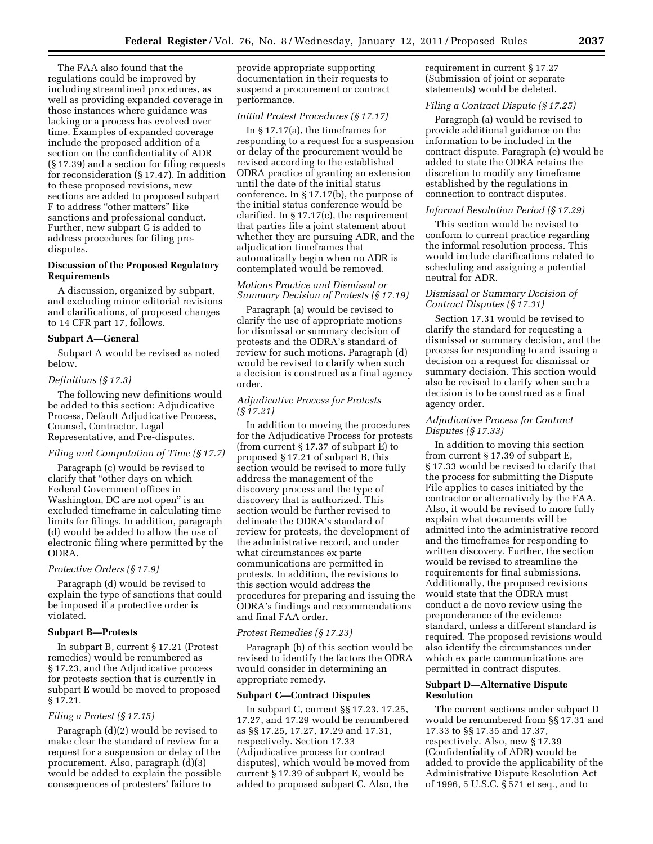The FAA also found that the regulations could be improved by including streamlined procedures, as well as providing expanded coverage in those instances where guidance was lacking or a process has evolved over time. Examples of expanded coverage include the proposed addition of a section on the confidentiality of ADR (§ 17.39) and a section for filing requests for reconsideration (§ 17.47). In addition to these proposed revisions, new sections are added to proposed subpart F to address ''other matters'' like sanctions and professional conduct. Further, new subpart G is added to address procedures for filing predisputes.

## **Discussion of the Proposed Regulatory Requirements**

A discussion, organized by subpart, and excluding minor editorial revisions and clarifications, of proposed changes to 14 CFR part 17, follows.

## **Subpart A—General**

Subpart A would be revised as noted below.

## *Definitions (§ 17.3)*

The following new definitions would be added to this section: Adjudicative Process, Default Adjudicative Process, Counsel, Contractor, Legal Representative, and Pre-disputes.

## *Filing and Computation of Time (§ 17.7)*

Paragraph (c) would be revised to clarify that ''other days on which Federal Government offices in Washington, DC are not open'' is an excluded timeframe in calculating time limits for filings. In addition, paragraph (d) would be added to allow the use of electronic filing where permitted by the ODRA.

# *Protective Orders (§ 17.9)*

Paragraph (d) would be revised to explain the type of sanctions that could be imposed if a protective order is violated.

## **Subpart B—Protests**

In subpart B, current § 17.21 (Protest remedies) would be renumbered as § 17.23, and the Adjudicative process for protests section that is currently in subpart E would be moved to proposed § 17.21.

## *Filing a Protest (§ 17.15)*

Paragraph (d)(2) would be revised to make clear the standard of review for a request for a suspension or delay of the procurement. Also, paragraph (d)(3) would be added to explain the possible consequences of protesters' failure to

provide appropriate supporting documentation in their requests to suspend a procurement or contract performance.

# *Initial Protest Procedures (§ 17.17)*

In § 17.17(a), the timeframes for responding to a request for a suspension or delay of the procurement would be revised according to the established ODRA practice of granting an extension until the date of the initial status conference. In § 17.17(b), the purpose of the initial status conference would be clarified. In § 17.17(c), the requirement that parties file a joint statement about whether they are pursuing ADR, and the adjudication timeframes that automatically begin when no ADR is contemplated would be removed.

# *Motions Practice and Dismissal or Summary Decision of Protests (§ 17.19)*

Paragraph (a) would be revised to clarify the use of appropriate motions for dismissal or summary decision of protests and the ODRA's standard of review for such motions. Paragraph (d) would be revised to clarify when such a decision is construed as a final agency order.

# *Adjudicative Process for Protests (§ 17.21)*

In addition to moving the procedures for the Adjudicative Process for protests (from current § 17.37 of subpart E) to proposed § 17.21 of subpart B, this section would be revised to more fully address the management of the discovery process and the type of discovery that is authorized. This section would be further revised to delineate the ODRA's standard of review for protests, the development of the administrative record, and under what circumstances ex parte communications are permitted in protests. In addition, the revisions to this section would address the procedures for preparing and issuing the ODRA's findings and recommendations and final FAA order.

### *Protest Remedies (§ 17.23)*

Paragraph (b) of this section would be revised to identify the factors the ODRA would consider in determining an appropriate remedy.

## **Subpart C—Contract Disputes**

In subpart C, current §§ 17.23, 17.25, 17.27, and 17.29 would be renumbered as §§ 17.25, 17.27, 17.29 and 17.31, respectively. Section 17.33 (Adjudicative process for contract disputes), which would be moved from current § 17.39 of subpart E, would be added to proposed subpart C. Also, the requirement in current § 17.27 (Submission of joint or separate statements) would be deleted.

## *Filing a Contract Dispute (§ 17.25)*

Paragraph (a) would be revised to provide additional guidance on the information to be included in the contract dispute. Paragraph (e) would be added to state the ODRA retains the discretion to modify any timeframe established by the regulations in connection to contract disputes.

# *Informal Resolution Period (§ 17.29)*

This section would be revised to conform to current practice regarding the informal resolution process. This would include clarifications related to scheduling and assigning a potential neutral for ADR.

## *Dismissal or Summary Decision of Contract Disputes (§ 17.31)*

Section 17.31 would be revised to clarify the standard for requesting a dismissal or summary decision, and the process for responding to and issuing a decision on a request for dismissal or summary decision. This section would also be revised to clarify when such a decision is to be construed as a final agency order.

# *Adjudicative Process for Contract Disputes (§ 17.33)*

In addition to moving this section from current § 17.39 of subpart E, § 17.33 would be revised to clarify that the process for submitting the Dispute File applies to cases initiated by the contractor or alternatively by the FAA. Also, it would be revised to more fully explain what documents will be admitted into the administrative record and the timeframes for responding to written discovery. Further, the section would be revised to streamline the requirements for final submissions. Additionally, the proposed revisions would state that the ODRA must conduct a de novo review using the preponderance of the evidence standard, unless a different standard is required. The proposed revisions would also identify the circumstances under which ex parte communications are permitted in contract disputes.

## **Subpart D—Alternative Dispute Resolution**

The current sections under subpart D would be renumbered from §§ 17.31 and 17.33 to §§ 17.35 and 17.37, respectively. Also, new § 17.39 (Confidentiality of ADR) would be added to provide the applicability of the Administrative Dispute Resolution Act of 1996, 5 U.S.C. § 571 et seq., and to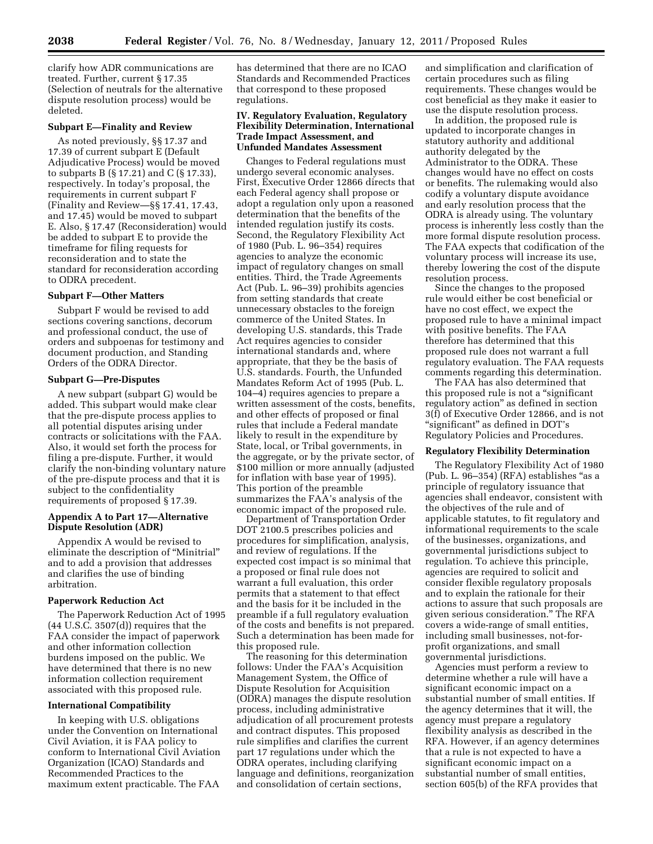clarify how ADR communications are treated. Further, current § 17.35 (Selection of neutrals for the alternative dispute resolution process) would be deleted.

# **Subpart E—Finality and Review**

As noted previously, §§ 17.37 and 17.39 of current subpart E (Default Adjudicative Process) would be moved to subparts B (§ 17.21) and C (§ 17.33), respectively. In today's proposal, the requirements in current subpart F (Finality and Review—§§ 17.41, 17.43, and 17.45) would be moved to subpart E. Also, § 17.47 (Reconsideration) would be added to subpart E to provide the timeframe for filing requests for reconsideration and to state the standard for reconsideration according to ODRA precedent.

## **Subpart F—Other Matters**

Subpart F would be revised to add sections covering sanctions, decorum and professional conduct, the use of orders and subpoenas for testimony and document production, and Standing Orders of the ODRA Director.

## **Subpart G—Pre-Disputes**

A new subpart (subpart G) would be added. This subpart would make clear that the pre-dispute process applies to all potential disputes arising under contracts or solicitations with the FAA. Also, it would set forth the process for filing a pre-dispute. Further, it would clarify the non-binding voluntary nature of the pre-dispute process and that it is subject to the confidentiality requirements of proposed § 17.39.

## **Appendix A to Part 17—Alternative Dispute Resolution (ADR)**

Appendix A would be revised to eliminate the description of ''Minitrial'' and to add a provision that addresses and clarifies the use of binding arbitration.

## **Paperwork Reduction Act**

The Paperwork Reduction Act of 1995  $(44 \text{ U.S.C. } 3507\text{ (d)})$  requires that the FAA consider the impact of paperwork and other information collection burdens imposed on the public. We have determined that there is no new information collection requirement associated with this proposed rule.

#### **International Compatibility**

In keeping with U.S. obligations under the Convention on International Civil Aviation, it is FAA policy to conform to International Civil Aviation Organization (ICAO) Standards and Recommended Practices to the maximum extent practicable. The FAA

has determined that there are no ICAO Standards and Recommended Practices that correspond to these proposed regulations.

## **IV. Regulatory Evaluation, Regulatory Flexibility Determination, International Trade Impact Assessment, and Unfunded Mandates Assessment**

Changes to Federal regulations must undergo several economic analyses. First, Executive Order 12866 directs that each Federal agency shall propose or adopt a regulation only upon a reasoned determination that the benefits of the intended regulation justify its costs. Second, the Regulatory Flexibility Act of 1980 (Pub. L. 96–354) requires agencies to analyze the economic impact of regulatory changes on small entities. Third, the Trade Agreements Act (Pub. L. 96–39) prohibits agencies from setting standards that create unnecessary obstacles to the foreign commerce of the United States. In developing U.S. standards, this Trade Act requires agencies to consider international standards and, where appropriate, that they be the basis of U.S. standards. Fourth, the Unfunded Mandates Reform Act of 1995 (Pub. L. 104–4) requires agencies to prepare a written assessment of the costs, benefits, and other effects of proposed or final rules that include a Federal mandate likely to result in the expenditure by State, local, or Tribal governments, in the aggregate, or by the private sector, of \$100 million or more annually (adjusted for inflation with base year of 1995). This portion of the preamble summarizes the FAA's analysis of the economic impact of the proposed rule.

Department of Transportation Order DOT 2100.5 prescribes policies and procedures for simplification, analysis, and review of regulations. If the expected cost impact is so minimal that a proposed or final rule does not warrant a full evaluation, this order permits that a statement to that effect and the basis for it be included in the preamble if a full regulatory evaluation of the costs and benefits is not prepared. Such a determination has been made for this proposed rule.

The reasoning for this determination follows: Under the FAA's Acquisition Management System, the Office of Dispute Resolution for Acquisition (ODRA) manages the dispute resolution process, including administrative adjudication of all procurement protests and contract disputes. This proposed rule simplifies and clarifies the current part 17 regulations under which the ODRA operates, including clarifying language and definitions, reorganization and consolidation of certain sections,

and simplification and clarification of certain procedures such as filing requirements. These changes would be cost beneficial as they make it easier to use the dispute resolution process.

In addition, the proposed rule is updated to incorporate changes in statutory authority and additional authority delegated by the Administrator to the ODRA. These changes would have no effect on costs or benefits. The rulemaking would also codify a voluntary dispute avoidance and early resolution process that the ODRA is already using. The voluntary process is inherently less costly than the more formal dispute resolution process. The FAA expects that codification of the voluntary process will increase its use, thereby lowering the cost of the dispute resolution process.

Since the changes to the proposed rule would either be cost beneficial or have no cost effect, we expect the proposed rule to have a minimal impact with positive benefits. The FAA therefore has determined that this proposed rule does not warrant a full regulatory evaluation. The FAA requests comments regarding this determination.

The FAA has also determined that this proposed rule is not a ''significant regulatory action'' as defined in section 3(f) of Executive Order 12866, and is not ''significant'' as defined in DOT's Regulatory Policies and Procedures.

#### **Regulatory Flexibility Determination**

The Regulatory Flexibility Act of 1980  $(Pub. L. 96-354) (RFA)$  establishes "as a principle of regulatory issuance that agencies shall endeavor, consistent with the objectives of the rule and of applicable statutes, to fit regulatory and informational requirements to the scale of the businesses, organizations, and governmental jurisdictions subject to regulation. To achieve this principle, agencies are required to solicit and consider flexible regulatory proposals and to explain the rationale for their actions to assure that such proposals are given serious consideration.'' The RFA covers a wide-range of small entities, including small businesses, not-forprofit organizations, and small governmental jurisdictions.

Agencies must perform a review to determine whether a rule will have a significant economic impact on a substantial number of small entities. If the agency determines that it will, the agency must prepare a regulatory flexibility analysis as described in the RFA. However, if an agency determines that a rule is not expected to have a significant economic impact on a substantial number of small entities, section 605(b) of the RFA provides that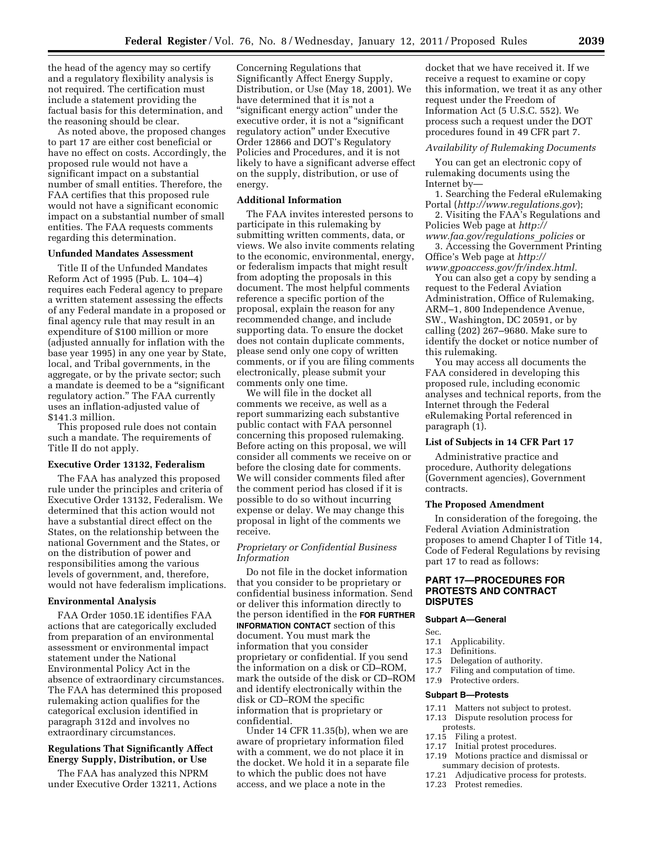the head of the agency may so certify and a regulatory flexibility analysis is not required. The certification must include a statement providing the factual basis for this determination, and the reasoning should be clear.

As noted above, the proposed changes to part 17 are either cost beneficial or have no effect on costs. Accordingly, the proposed rule would not have a significant impact on a substantial number of small entities. Therefore, the FAA certifies that this proposed rule would not have a significant economic impact on a substantial number of small entities. The FAA requests comments regarding this determination.

#### **Unfunded Mandates Assessment**

Title II of the Unfunded Mandates Reform Act of 1995 (Pub. L. 104–4) requires each Federal agency to prepare a written statement assessing the effects of any Federal mandate in a proposed or final agency rule that may result in an expenditure of \$100 million or more (adjusted annually for inflation with the base year 1995) in any one year by State, local, and Tribal governments, in the aggregate, or by the private sector; such a mandate is deemed to be a ''significant regulatory action.'' The FAA currently uses an inflation-adjusted value of \$141.3 million.

This proposed rule does not contain such a mandate. The requirements of Title II do not apply.

## **Executive Order 13132, Federalism**

The FAA has analyzed this proposed rule under the principles and criteria of Executive Order 13132, Federalism. We determined that this action would not have a substantial direct effect on the States, on the relationship between the national Government and the States, or on the distribution of power and responsibilities among the various levels of government, and, therefore, would not have federalism implications.

#### **Environmental Analysis**

FAA Order 1050.1E identifies FAA actions that are categorically excluded from preparation of an environmental assessment or environmental impact statement under the National Environmental Policy Act in the absence of extraordinary circumstances. The FAA has determined this proposed rulemaking action qualifies for the categorical exclusion identified in paragraph 312d and involves no extraordinary circumstances.

# **Regulations That Significantly Affect Energy Supply, Distribution, or Use**

The FAA has analyzed this NPRM under Executive Order 13211, Actions

Concerning Regulations that Significantly Affect Energy Supply, Distribution, or Use (May 18, 2001). We have determined that it is not a "significant energy action" under the executive order, it is not a "significant regulatory action'' under Executive Order 12866 and DOT's Regulatory Policies and Procedures, and it is not likely to have a significant adverse effect on the supply, distribution, or use of energy.

## **Additional Information**

The FAA invites interested persons to participate in this rulemaking by submitting written comments, data, or views. We also invite comments relating to the economic, environmental, energy, or federalism impacts that might result from adopting the proposals in this document. The most helpful comments reference a specific portion of the proposal, explain the reason for any recommended change, and include supporting data. To ensure the docket does not contain duplicate comments, please send only one copy of written comments, or if you are filing comments electronically, please submit your comments only one time.

We will file in the docket all comments we receive, as well as a report summarizing each substantive public contact with FAA personnel concerning this proposed rulemaking. Before acting on this proposal, we will consider all comments we receive on or before the closing date for comments. We will consider comments filed after the comment period has closed if it is possible to do so without incurring expense or delay. We may change this proposal in light of the comments we receive.

## *Proprietary or Confidential Business Information*

Do not file in the docket information that you consider to be proprietary or confidential business information. Send or deliver this information directly to the person identified in the **FOR FURTHER INFORMATION CONTACT** section of this document. You must mark the information that you consider proprietary or confidential. If you send the information on a disk or CD–ROM, mark the outside of the disk or CD–ROM and identify electronically within the disk or CD–ROM the specific information that is proprietary or confidential.

Under 14 CFR 11.35(b), when we are aware of proprietary information filed with a comment, we do not place it in the docket. We hold it in a separate file to which the public does not have access, and we place a note in the

docket that we have received it. If we receive a request to examine or copy this information, we treat it as any other request under the Freedom of Information Act (5 U.S.C. 552). We process such a request under the DOT procedures found in 49 CFR part 7.

#### *Availability of Rulemaking Documents*

You can get an electronic copy of rulemaking documents using the Internet by—

1. Searching the Federal eRulemaking Portal (*<http://www.regulations.gov>*);

2. Visiting the FAA's Regulations and Policies Web page at *[http://](http://www.faa.gov/regulations_policies)  [www.faa.gov/regulations](http://www.faa.gov/regulations_policies)*\_*policies* or

3. Accessing the Government Printing Office's Web page at *[http://](http://www.gpoaccess.gov/fr/index.html)* 

*[www.gpoaccess.gov/fr/index.html.](http://www.gpoaccess.gov/fr/index.html)*  You can also get a copy by sending a request to the Federal Aviation Administration, Office of Rulemaking, ARM–1, 800 Independence Avenue, SW., Washington, DC 20591, or by calling (202) 267–9680. Make sure to identify the docket or notice number of this rulemaking.

You may access all documents the FAA considered in developing this proposed rule, including economic analyses and technical reports, from the Internet through the Federal eRulemaking Portal referenced in paragraph (1).

#### **List of Subjects in 14 CFR Part 17**

Administrative practice and procedure, Authority delegations (Government agencies), Government contracts.

### **The Proposed Amendment**

In consideration of the foregoing, the Federal Aviation Administration proposes to amend Chapter I of Title 14, Code of Federal Regulations by revising part 17 to read as follows:

# **PART 17—PROCEDURES FOR PROTESTS AND CONTRACT DISPUTES**

#### **Subpart A—General**

- Sec.
- 17.1 Applicability.
- 17.3 Definitions.<br>17.5 Delegation
- Delegation of authority.
- 17.7 Filing and computation of time.
- 17.9 Protective orders.

### **Subpart B—Protests**

- 17.11 Matters not subject to protest.
- 17.13 Dispute resolution process for protests.<br>17.15 Filing
- 17.15 Filing a protest.<br>17.17 Initial protest pr
- 17.17 Initial protest procedures.<br>17.19 Motions practice and dism
- Motions practice and dismissal or summary decision of protests.
- 17.21 Adjudicative process for protests.<br>17.23 Protest remedies.
- Protest remedies.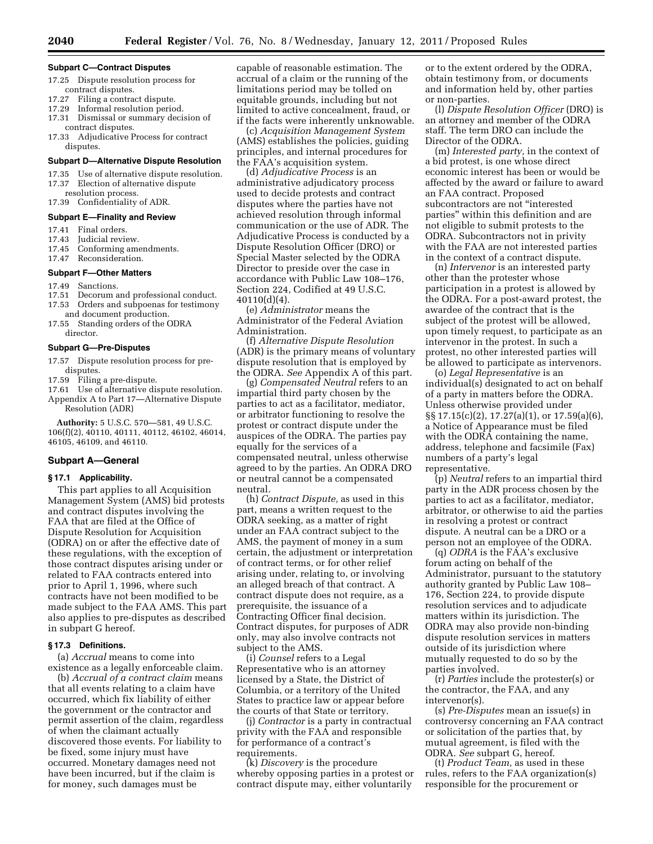#### **Subpart C—Contract Disputes**

- 17.25 Dispute resolution process for contract disputes.
- 17.27 Filing a contract dispute.
- 17.29 Informal resolution period.<br>17.31 Dismissal or summary deci
- Dismissal or summary decision of contract disputes.
- 17.33 Adjudicative Process for contract disputes.

# **Subpart D—Alternative Dispute Resolution**

- 17.35 Use of alternative dispute resolution.
- 17.37 Election of alternative dispute
- resolution process.
- 17.39 Confidentiality of ADR.

# **Subpart E—Finality and Review**

- 17.41 Final orders.<br>17.43 Judicial revie
- Judicial review.
- 17.45 Conforming amendments.
- 17.47 Reconsideration.

# **Subpart F—Other Matters**

- 17.49 Sanctions.
- 17.51 Decorum and professional conduct. 17.53 Orders and subpoenas for testimony
- and document production. 17.55 Standing orders of the ODRA
- director.

#### **Subpart G—Pre-Disputes**

- 17.57 Dispute resolution process for predisputes.
- 17.59 Filing a pre-dispute.
- 17.61 Use of alternative dispute resolution. Appendix A to Part 17—Alternative Dispute Resolution (ADR)

**Authority:** 5 U.S.C. 570—581, 49 U.S.C. 106(f)(2), 40110, 40111, 40112, 46102, 46014, 46105, 46109, and 46110.

## **Subpart A—General**

## **§ 17.1 Applicability.**

This part applies to all Acquisition Management System (AMS) bid protests and contract disputes involving the FAA that are filed at the Office of Dispute Resolution for Acquisition (ODRA) on or after the effective date of these regulations, with the exception of those contract disputes arising under or related to FAA contracts entered into prior to April 1, 1996, where such contracts have not been modified to be made subject to the FAA AMS. This part also applies to pre-disputes as described in subpart G hereof.

## **§ 17.3 Definitions.**

(a) *Accrual* means to come into existence as a legally enforceable claim.

(b) *Accrual of a contract claim* means that all events relating to a claim have occurred, which fix liability of either the government or the contractor and permit assertion of the claim, regardless of when the claimant actually discovered those events. For liability to be fixed, some injury must have occurred. Monetary damages need not have been incurred, but if the claim is for money, such damages must be

capable of reasonable estimation. The accrual of a claim or the running of the limitations period may be tolled on equitable grounds, including but not limited to active concealment, fraud, or if the facts were inherently unknowable.

(c) *Acquisition Management System*  (AMS) establishes the policies, guiding principles, and internal procedures for the FAA's acquisition system.

(d) *Adjudicative Process* is an administrative adjudicatory process used to decide protests and contract disputes where the parties have not achieved resolution through informal communication or the use of ADR. The Adjudicative Process is conducted by a Dispute Resolution Officer (DRO) or Special Master selected by the ODRA Director to preside over the case in accordance with Public Law 108–176, Section 224, Codified at 49 U.S.C. 40110(d)(4).

(e) *Administrator* means the Administrator of the Federal Aviation Administration.

(f) *Alternative Dispute Resolution*  (ADR) is the primary means of voluntary dispute resolution that is employed by the ODRA. *See* Appendix A of this part.

(g) *Compensated Neutral* refers to an impartial third party chosen by the parties to act as a facilitator, mediator, or arbitrator functioning to resolve the protest or contract dispute under the auspices of the ODRA. The parties pay equally for the services of a compensated neutral, unless otherwise agreed to by the parties. An ODRA DRO or neutral cannot be a compensated neutral.

(h) *Contract Dispute,* as used in this part, means a written request to the ODRA seeking, as a matter of right under an FAA contract subject to the AMS, the payment of money in a sum certain, the adjustment or interpretation of contract terms, or for other relief arising under, relating to, or involving an alleged breach of that contract. A contract dispute does not require, as a prerequisite, the issuance of a Contracting Officer final decision. Contract disputes, for purposes of ADR only, may also involve contracts not subject to the AMS.

(i) *Counsel* refers to a Legal Representative who is an attorney licensed by a State, the District of Columbia, or a territory of the United States to practice law or appear before the courts of that State or territory.

(j) *Contractor* is a party in contractual privity with the FAA and responsible for performance of a contract's requirements.

(k) *Discovery* is the procedure whereby opposing parties in a protest or contract dispute may, either voluntarily

or to the extent ordered by the ODRA, obtain testimony from, or documents and information held by, other parties or non-parties.

(l) *Dispute Resolution Officer* (DRO) is an attorney and member of the ODRA staff. The term DRO can include the Director of the ODRA.

(m) *Interested party,* in the context of a bid protest, is one whose direct economic interest has been or would be affected by the award or failure to award an FAA contract. Proposed subcontractors are not ''interested parties'' within this definition and are not eligible to submit protests to the ODRA. Subcontractors not in privity with the FAA are not interested parties in the context of a contract dispute.

(n) *Intervenor* is an interested party other than the protester whose participation in a protest is allowed by the ODRA. For a post-award protest, the awardee of the contract that is the subject of the protest will be allowed, upon timely request, to participate as an intervenor in the protest. In such a protest, no other interested parties will be allowed to participate as intervenors.

(o) *Legal Representative* is an individual(s) designated to act on behalf of a party in matters before the ODRA. Unless otherwise provided under §§ 17.15(c)(2), 17.27(a)(1), or 17.59(a)(6), a Notice of Appearance must be filed with the ODRA containing the name, address, telephone and facsimile (Fax) numbers of a party's legal representative.

(p) *Neutral* refers to an impartial third party in the ADR process chosen by the parties to act as a facilitator, mediator, arbitrator, or otherwise to aid the parties in resolving a protest or contract dispute. A neutral can be a DRO or a person not an employee of the ODRA.

(q) *ODRA* is the FAA's exclusive forum acting on behalf of the Administrator, pursuant to the statutory authority granted by Public Law 108– 176, Section 224, to provide dispute resolution services and to adjudicate matters within its jurisdiction. The ODRA may also provide non-binding dispute resolution services in matters outside of its jurisdiction where mutually requested to do so by the parties involved.

(r) *Parties* include the protester(s) or the contractor, the FAA, and any intervenor(s).

(s) *Pre-Disputes* mean an issue(s) in controversy concerning an FAA contract or solicitation of the parties that, by mutual agreement, is filed with the ODRA. *See* subpart G, hereof.

(t) *Product Team,* as used in these rules, refers to the FAA organization(s) responsible for the procurement or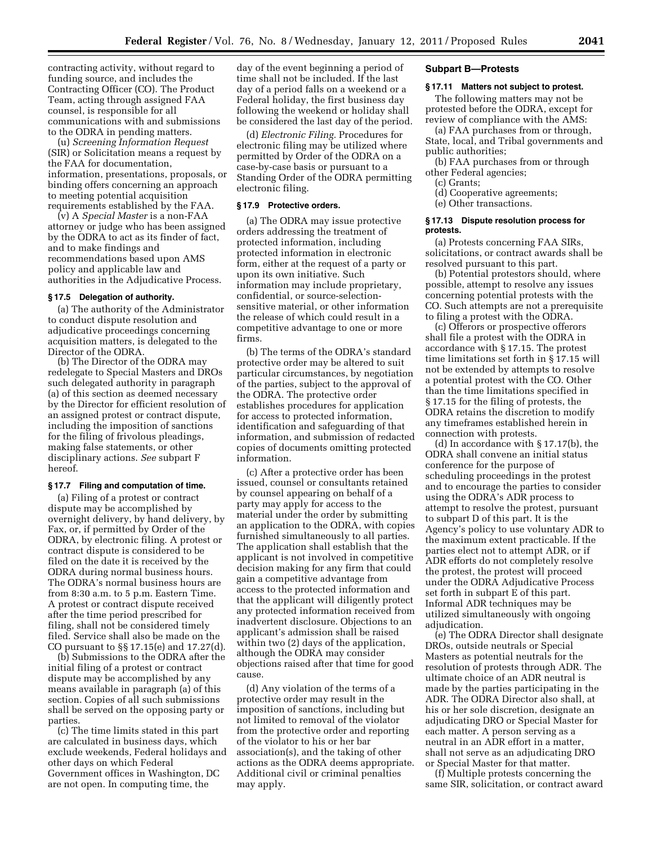contracting activity, without regard to funding source, and includes the Contracting Officer (CO). The Product Team, acting through assigned FAA counsel, is responsible for all communications with and submissions to the ODRA in pending matters.

(u) *Screening Information Request*  (SIR) or Solicitation means a request by the FAA for documentation, information, presentations, proposals, or binding offers concerning an approach to meeting potential acquisition requirements established by the FAA.

(v) A *Special Master* is a non-FAA attorney or judge who has been assigned by the ODRA to act as its finder of fact, and to make findings and recommendations based upon AMS policy and applicable law and authorities in the Adjudicative Process.

### **§ 17.5 Delegation of authority.**

(a) The authority of the Administrator to conduct dispute resolution and adjudicative proceedings concerning acquisition matters, is delegated to the Director of the ODRA.

(b) The Director of the ODRA may redelegate to Special Masters and DROs such delegated authority in paragraph (a) of this section as deemed necessary by the Director for efficient resolution of an assigned protest or contract dispute, including the imposition of sanctions for the filing of frivolous pleadings, making false statements, or other disciplinary actions. *See* subpart F hereof.

#### **§ 17.7 Filing and computation of time.**

(a) Filing of a protest or contract dispute may be accomplished by overnight delivery, by hand delivery, by Fax, or, if permitted by Order of the ODRA, by electronic filing. A protest or contract dispute is considered to be filed on the date it is received by the ODRA during normal business hours. The ODRA's normal business hours are from 8:30 a.m. to 5 p.m. Eastern Time. A protest or contract dispute received after the time period prescribed for filing, shall not be considered timely filed. Service shall also be made on the CO pursuant to §§ 17.15(e) and 17.27(d).

(b) Submissions to the ODRA after the initial filing of a protest or contract dispute may be accomplished by any means available in paragraph (a) of this section. Copies of all such submissions shall be served on the opposing party or parties.

(c) The time limits stated in this part are calculated in business days, which exclude weekends, Federal holidays and other days on which Federal Government offices in Washington, DC are not open. In computing time, the

day of the event beginning a period of time shall not be included. If the last day of a period falls on a weekend or a Federal holiday, the first business day following the weekend or holiday shall be considered the last day of the period.

(d) *Electronic Filing.* Procedures for electronic filing may be utilized where permitted by Order of the ODRA on a case-by-case basis or pursuant to a Standing Order of the ODRA permitting electronic filing.

## **§ 17.9 Protective orders.**

(a) The ODRA may issue protective orders addressing the treatment of protected information, including protected information in electronic form, either at the request of a party or upon its own initiative. Such information may include proprietary, confidential, or source-selectionsensitive material, or other information the release of which could result in a competitive advantage to one or more firms.

(b) The terms of the ODRA's standard protective order may be altered to suit particular circumstances, by negotiation of the parties, subject to the approval of the ODRA. The protective order establishes procedures for application for access to protected information, identification and safeguarding of that information, and submission of redacted copies of documents omitting protected information.

(c) After a protective order has been issued, counsel or consultants retained by counsel appearing on behalf of a party may apply for access to the material under the order by submitting an application to the ODRA, with copies furnished simultaneously to all parties. The application shall establish that the applicant is not involved in competitive decision making for any firm that could gain a competitive advantage from access to the protected information and that the applicant will diligently protect any protected information received from inadvertent disclosure. Objections to an applicant's admission shall be raised within two (2) days of the application, although the ODRA may consider objections raised after that time for good cause.

(d) Any violation of the terms of a protective order may result in the imposition of sanctions, including but not limited to removal of the violator from the protective order and reporting of the violator to his or her bar association(s), and the taking of other actions as the ODRA deems appropriate. Additional civil or criminal penalties may apply.

### **Subpart B—Protests**

## **§ 17.11 Matters not subject to protest.**

The following matters may not be protested before the ODRA, except for review of compliance with the AMS:

(a) FAA purchases from or through, State, local, and Tribal governments and public authorities;

(b) FAA purchases from or through other Federal agencies;

- (c) Grants;
- (d) Cooperative agreements;
- (e) Other transactions.

### **§ 17.13 Dispute resolution process for protests.**

(a) Protests concerning FAA SIRs, solicitations, or contract awards shall be resolved pursuant to this part.

(b) Potential protestors should, where possible, attempt to resolve any issues concerning potential protests with the CO. Such attempts are not a prerequisite to filing a protest with the ODRA.

(c) Offerors or prospective offerors shall file a protest with the ODRA in accordance with § 17.15. The protest time limitations set forth in § 17.15 will not be extended by attempts to resolve a potential protest with the CO. Other than the time limitations specified in § 17.15 for the filing of protests, the ODRA retains the discretion to modify any timeframes established herein in connection with protests.

(d) In accordance with § 17.17(b), the ODRA shall convene an initial status conference for the purpose of scheduling proceedings in the protest and to encourage the parties to consider using the ODRA's ADR process to attempt to resolve the protest, pursuant to subpart D of this part. It is the Agency's policy to use voluntary ADR to the maximum extent practicable. If the parties elect not to attempt ADR, or if ADR efforts do not completely resolve the protest, the protest will proceed under the ODRA Adjudicative Process set forth in subpart E of this part. Informal ADR techniques may be utilized simultaneously with ongoing adjudication.

(e) The ODRA Director shall designate DROs, outside neutrals or Special Masters as potential neutrals for the resolution of protests through ADR. The ultimate choice of an ADR neutral is made by the parties participating in the ADR. The ODRA Director also shall, at his or her sole discretion, designate an adjudicating DRO or Special Master for each matter. A person serving as a neutral in an ADR effort in a matter, shall not serve as an adjudicating DRO or Special Master for that matter.

(f) Multiple protests concerning the same SIR, solicitation, or contract award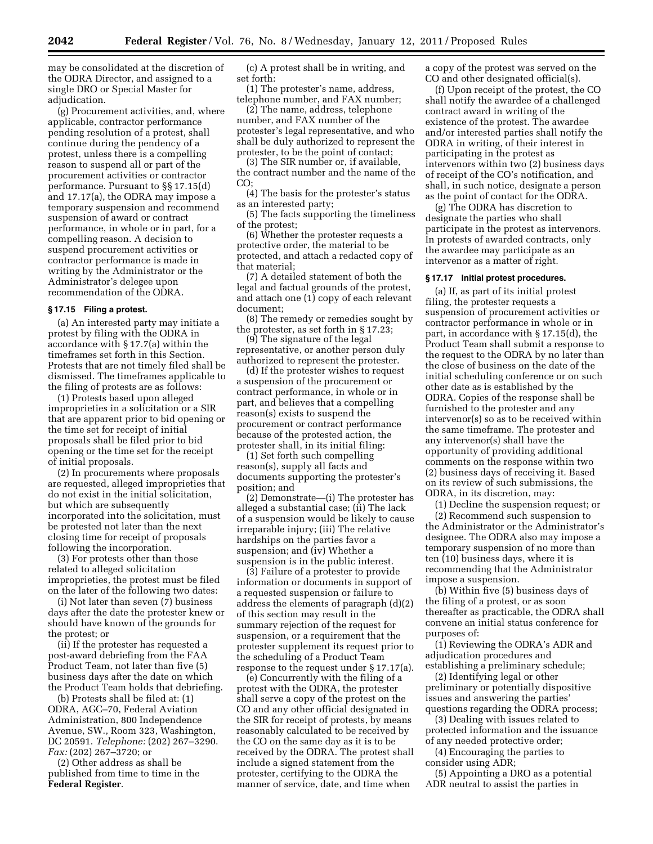may be consolidated at the discretion of the ODRA Director, and assigned to a single DRO or Special Master for adjudication.

(g) Procurement activities, and, where applicable, contractor performance pending resolution of a protest, shall continue during the pendency of a protest, unless there is a compelling reason to suspend all or part of the procurement activities or contractor performance. Pursuant to §§ 17.15(d) and 17.17(a), the ODRA may impose a temporary suspension and recommend suspension of award or contract performance, in whole or in part, for a compelling reason. A decision to suspend procurement activities or contractor performance is made in writing by the Administrator or the Administrator's delegee upon recommendation of the ODRA.

## **§ 17.15 Filing a protest.**

(a) An interested party may initiate a protest by filing with the ODRA in accordance with § 17.7(a) within the timeframes set forth in this Section. Protests that are not timely filed shall be dismissed. The timeframes applicable to the filing of protests are as follows:

(1) Protests based upon alleged improprieties in a solicitation or a SIR that are apparent prior to bid opening or the time set for receipt of initial proposals shall be filed prior to bid opening or the time set for the receipt of initial proposals.

(2) In procurements where proposals are requested, alleged improprieties that do not exist in the initial solicitation, but which are subsequently incorporated into the solicitation, must be protested not later than the next closing time for receipt of proposals following the incorporation.

(3) For protests other than those related to alleged solicitation improprieties, the protest must be filed on the later of the following two dates:

(i) Not later than seven (7) business days after the date the protester knew or should have known of the grounds for the protest; or

(ii) If the protester has requested a post-award debriefing from the FAA Product Team, not later than five (5) business days after the date on which the Product Team holds that debriefing.

(b) Protests shall be filed at: (1) ODRA, AGC–70, Federal Aviation Administration, 800 Independence Avenue, SW., Room 323, Washington, DC 20591. *Telephone:* (202) 267–3290. *Fax:* (202) 267–3720; or

(2) Other address as shall be published from time to time in the **Federal Register**.

(c) A protest shall be in writing, and set forth:

(1) The protester's name, address, telephone number, and FAX number;

(2) The name, address, telephone number, and FAX number of the protester's legal representative, and who shall be duly authorized to represent the protester, to be the point of contact;

(3) The SIR number or, if available, the contract number and the name of the CO;

(4) The basis for the protester's status as an interested party;

(5) The facts supporting the timeliness of the protest;

(6) Whether the protester requests a protective order, the material to be protected, and attach a redacted copy of that material;

(7) A detailed statement of both the legal and factual grounds of the protest, and attach one (1) copy of each relevant document;

(8) The remedy or remedies sought by the protester, as set forth in § 17.23;

(9) The signature of the legal representative, or another person duly authorized to represent the protester.

(d) If the protester wishes to request a suspension of the procurement or contract performance, in whole or in part, and believes that a compelling reason(s) exists to suspend the procurement or contract performance because of the protested action, the protester shall, in its initial filing:

(1) Set forth such compelling reason(s), supply all facts and documents supporting the protester's position; and

(2) Demonstrate—(i) The protester has alleged a substantial case; (ii) The lack of a suspension would be likely to cause irreparable injury; (iii) The relative hardships on the parties favor a suspension; and (iv) Whether a suspension is in the public interest.

(3) Failure of a protester to provide information or documents in support of a requested suspension or failure to address the elements of paragraph (d)(2) of this section may result in the summary rejection of the request for suspension, or a requirement that the protester supplement its request prior to the scheduling of a Product Team response to the request under § 17.17(a).

(e) Concurrently with the filing of a protest with the ODRA, the protester shall serve a copy of the protest on the CO and any other official designated in the SIR for receipt of protests, by means reasonably calculated to be received by the CO on the same day as it is to be received by the ODRA. The protest shall include a signed statement from the protester, certifying to the ODRA the manner of service, date, and time when

a copy of the protest was served on the CO and other designated official(s).

(f) Upon receipt of the protest, the CO shall notify the awardee of a challenged contract award in writing of the existence of the protest. The awardee and/or interested parties shall notify the ODRA in writing, of their interest in participating in the protest as intervenors within two (2) business days of receipt of the CO's notification, and shall, in such notice, designate a person as the point of contact for the ODRA.

(g) The ODRA has discretion to designate the parties who shall participate in the protest as intervenors. In protests of awarded contracts, only the awardee may participate as an intervenor as a matter of right.

### **§ 17.17 Initial protest procedures.**

(a) If, as part of its initial protest filing, the protester requests a suspension of procurement activities or contractor performance in whole or in part, in accordance with § 17.15(d), the Product Team shall submit a response to the request to the ODRA by no later than the close of business on the date of the initial scheduling conference or on such other date as is established by the ODRA. Copies of the response shall be furnished to the protester and any intervenor(s) so as to be received within the same timeframe. The protester and any intervenor(s) shall have the opportunity of providing additional comments on the response within two (2) business days of receiving it. Based on its review of such submissions, the ODRA, in its discretion, may:

(1) Decline the suspension request; or (2) Recommend such suspension to the Administrator or the Administrator's designee. The ODRA also may impose a temporary suspension of no more than ten (10) business days, where it is recommending that the Administrator impose a suspension.

(b) Within five (5) business days of the filing of a protest, or as soon thereafter as practicable, the ODRA shall convene an initial status conference for purposes of:

(1) Reviewing the ODRA's ADR and adjudication procedures and establishing a preliminary schedule;

(2) Identifying legal or other preliminary or potentially dispositive issues and answering the parties' questions regarding the ODRA process;

(3) Dealing with issues related to protected information and the issuance of any needed protective order;

(4) Encouraging the parties to consider using ADR;

(5) Appointing a DRO as a potential ADR neutral to assist the parties in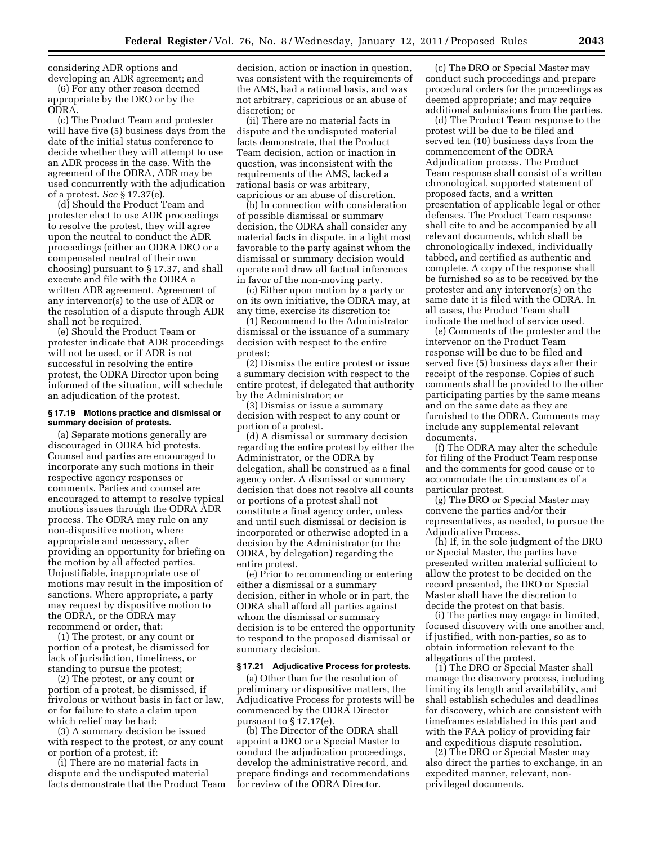considering ADR options and developing an ADR agreement; and

(6) For any other reason deemed appropriate by the DRO or by the ODRA.

(c) The Product Team and protester will have five (5) business days from the date of the initial status conference to decide whether they will attempt to use an ADR process in the case. With the agreement of the ODRA, ADR may be used concurrently with the adjudication of a protest. *See* § 17.37(e).

(d) Should the Product Team and protester elect to use ADR proceedings to resolve the protest, they will agree upon the neutral to conduct the ADR proceedings (either an ODRA DRO or a compensated neutral of their own choosing) pursuant to § 17.37, and shall execute and file with the ODRA a written ADR agreement. Agreement of any intervenor(s) to the use of ADR or the resolution of a dispute through ADR shall not be required.

(e) Should the Product Team or protester indicate that ADR proceedings will not be used, or if ADR is not successful in resolving the entire protest, the ODRA Director upon being informed of the situation, will schedule an adjudication of the protest.

## **§ 17.19 Motions practice and dismissal or summary decision of protests.**

(a) Separate motions generally are discouraged in ODRA bid protests. Counsel and parties are encouraged to incorporate any such motions in their respective agency responses or comments. Parties and counsel are encouraged to attempt to resolve typical motions issues through the ODRA ADR process. The ODRA may rule on any non-dispositive motion, where appropriate and necessary, after providing an opportunity for briefing on the motion by all affected parties. Unjustifiable, inappropriate use of motions may result in the imposition of sanctions. Where appropriate, a party may request by dispositive motion to the ODRA, or the ODRA may recommend or order, that:

(1) The protest, or any count or portion of a protest, be dismissed for lack of jurisdiction, timeliness, or standing to pursue the protest;

(2) The protest, or any count or portion of a protest, be dismissed, if frivolous or without basis in fact or law, or for failure to state a claim upon which relief may be had;

(3) A summary decision be issued with respect to the protest, or any count or portion of a protest, if:

(i) There are no material facts in dispute and the undisputed material facts demonstrate that the Product Team decision, action or inaction in question, was consistent with the requirements of the AMS, had a rational basis, and was not arbitrary, capricious or an abuse of discretion; or

(ii) There are no material facts in dispute and the undisputed material facts demonstrate, that the Product Team decision, action or inaction in question, was inconsistent with the requirements of the AMS, lacked a rational basis or was arbitrary, capricious or an abuse of discretion.

(b) In connection with consideration of possible dismissal or summary decision, the ODRA shall consider any material facts in dispute, in a light most favorable to the party against whom the dismissal or summary decision would operate and draw all factual inferences in favor of the non-moving party.

(c) Either upon motion by a party or on its own initiative, the ODRA may, at any time, exercise its discretion to:

(1) Recommend to the Administrator dismissal or the issuance of a summary decision with respect to the entire protest;

(2) Dismiss the entire protest or issue a summary decision with respect to the entire protest, if delegated that authority by the Administrator; or

(3) Dismiss or issue a summary decision with respect to any count or portion of a protest.

(d) A dismissal or summary decision regarding the entire protest by either the Administrator, or the ODRA by delegation, shall be construed as a final agency order. A dismissal or summary decision that does not resolve all counts or portions of a protest shall not constitute a final agency order, unless and until such dismissal or decision is incorporated or otherwise adopted in a decision by the Administrator (or the ODRA, by delegation) regarding the entire protest.

(e) Prior to recommending or entering either a dismissal or a summary decision, either in whole or in part, the ODRA shall afford all parties against whom the dismissal or summary decision is to be entered the opportunity to respond to the proposed dismissal or summary decision.

#### **§ 17.21 Adjudicative Process for protests.**

(a) Other than for the resolution of preliminary or dispositive matters, the Adjudicative Process for protests will be commenced by the ODRA Director pursuant to § 17.17(e).

(b) The Director of the ODRA shall appoint a DRO or a Special Master to conduct the adjudication proceedings, develop the administrative record, and prepare findings and recommendations for review of the ODRA Director.

(c) The DRO or Special Master may conduct such proceedings and prepare procedural orders for the proceedings as deemed appropriate; and may require additional submissions from the parties.

(d) The Product Team response to the protest will be due to be filed and served ten (10) business days from the commencement of the ODRA Adjudication process. The Product Team response shall consist of a written chronological, supported statement of proposed facts, and a written presentation of applicable legal or other defenses. The Product Team response shall cite to and be accompanied by all relevant documents, which shall be chronologically indexed, individually tabbed, and certified as authentic and complete. A copy of the response shall be furnished so as to be received by the protester and any intervenor(s) on the same date it is filed with the ODRA. In all cases, the Product Team shall indicate the method of service used.

(e) Comments of the protester and the intervenor on the Product Team response will be due to be filed and served five (5) business days after their receipt of the response. Copies of such comments shall be provided to the other participating parties by the same means and on the same date as they are furnished to the ODRA. Comments may include any supplemental relevant documents.

(f) The ODRA may alter the schedule for filing of the Product Team response and the comments for good cause or to accommodate the circumstances of a particular protest.

(g) The DRO or Special Master may convene the parties and/or their representatives, as needed, to pursue the Adjudicative Process.

(h) If, in the sole judgment of the DRO or Special Master, the parties have presented written material sufficient to allow the protest to be decided on the record presented, the DRO or Special Master shall have the discretion to decide the protest on that basis.

(i) The parties may engage in limited, focused discovery with one another and, if justified, with non-parties, so as to obtain information relevant to the allegations of the protest.

(1) The DRO or Special Master shall manage the discovery process, including limiting its length and availability, and shall establish schedules and deadlines for discovery, which are consistent with timeframes established in this part and with the FAA policy of providing fair and expeditious dispute resolution.

(2) The DRO or Special Master may also direct the parties to exchange, in an expedited manner, relevant, nonprivileged documents.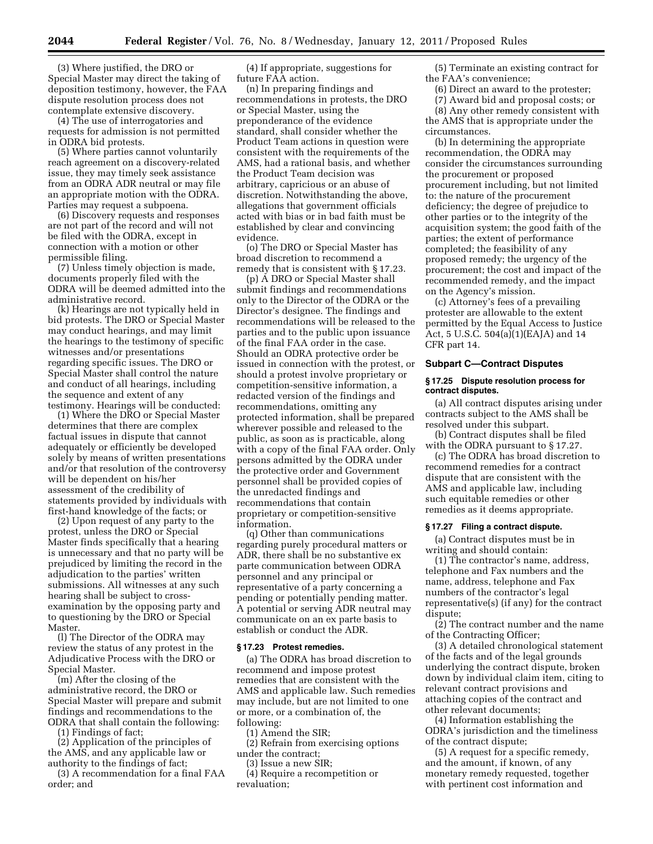(3) Where justified, the DRO or Special Master may direct the taking of deposition testimony, however, the FAA dispute resolution process does not contemplate extensive discovery.

(4) The use of interrogatories and requests for admission is not permitted in ODRA bid protests.

(5) Where parties cannot voluntarily reach agreement on a discovery-related issue, they may timely seek assistance from an ODRA ADR neutral or may file an appropriate motion with the ODRA. Parties may request a subpoena.

(6) Discovery requests and responses are not part of the record and will not be filed with the ODRA, except in connection with a motion or other permissible filing.

(7) Unless timely objection is made, documents properly filed with the ODRA will be deemed admitted into the administrative record.

(k) Hearings are not typically held in bid protests. The DRO or Special Master may conduct hearings, and may limit the hearings to the testimony of specific witnesses and/or presentations regarding specific issues. The DRO or Special Master shall control the nature and conduct of all hearings, including the sequence and extent of any testimony. Hearings will be conducted:

(1) Where the DRO or Special Master determines that there are complex factual issues in dispute that cannot adequately or efficiently be developed solely by means of written presentations and/or that resolution of the controversy will be dependent on his/her assessment of the credibility of statements provided by individuals with first-hand knowledge of the facts; or

(2) Upon request of any party to the protest, unless the DRO or Special Master finds specifically that a hearing is unnecessary and that no party will be prejudiced by limiting the record in the adjudication to the parties' written submissions. All witnesses at any such hearing shall be subject to crossexamination by the opposing party and to questioning by the DRO or Special Master.

(l) The Director of the ODRA may review the status of any protest in the Adjudicative Process with the DRO or Special Master.

(m) After the closing of the administrative record, the DRO or Special Master will prepare and submit findings and recommendations to the ODRA that shall contain the following:

(1) Findings of fact;

(2) Application of the principles of the AMS, and any applicable law or authority to the findings of fact;

(3) A recommendation for a final FAA order; and

(4) If appropriate, suggestions for future FAA action.

(n) In preparing findings and recommendations in protests, the DRO or Special Master, using the preponderance of the evidence standard, shall consider whether the Product Team actions in question were consistent with the requirements of the AMS, had a rational basis, and whether the Product Team decision was arbitrary, capricious or an abuse of discretion. Notwithstanding the above, allegations that government officials acted with bias or in bad faith must be established by clear and convincing evidence.

(o) The DRO or Special Master has broad discretion to recommend a remedy that is consistent with § 17.23.

(p) A DRO or Special Master shall submit findings and recommendations only to the Director of the ODRA or the Director's designee. The findings and recommendations will be released to the parties and to the public upon issuance of the final FAA order in the case. Should an ODRA protective order be issued in connection with the protest, or should a protest involve proprietary or competition-sensitive information, a redacted version of the findings and recommendations, omitting any protected information, shall be prepared wherever possible and released to the public, as soon as is practicable, along with a copy of the final FAA order. Only persons admitted by the ODRA under the protective order and Government personnel shall be provided copies of the unredacted findings and recommendations that contain proprietary or competition-sensitive information.

(q) Other than communications regarding purely procedural matters or ADR, there shall be no substantive ex parte communication between ODRA personnel and any principal or representative of a party concerning a pending or potentially pending matter. A potential or serving ADR neutral may communicate on an ex parte basis to establish or conduct the ADR.

#### **§ 17.23 Protest remedies.**

(a) The ODRA has broad discretion to recommend and impose protest remedies that are consistent with the AMS and applicable law. Such remedies may include, but are not limited to one or more, or a combination of, the following:

(1) Amend the SIR;

(2) Refrain from exercising options under the contract;

(3) Issue a new SIR;

(4) Require a recompetition or revaluation;

(5) Terminate an existing contract for the FAA's convenience;

(6) Direct an award to the protester;

(7) Award bid and proposal costs; or

(8) Any other remedy consistent with the AMS that is appropriate under the circumstances.

(b) In determining the appropriate recommendation, the ODRA may consider the circumstances surrounding the procurement or proposed procurement including, but not limited to: the nature of the procurement deficiency; the degree of prejudice to other parties or to the integrity of the acquisition system; the good faith of the parties; the extent of performance completed; the feasibility of any proposed remedy; the urgency of the procurement; the cost and impact of the recommended remedy, and the impact on the Agency's mission.

(c) Attorney's fees of a prevailing protester are allowable to the extent permitted by the Equal Access to Justice Act, 5 U.S.C. 504(a)(1)(EAJA) and 14 CFR part 14.

### **Subpart C—Contract Disputes**

## **§ 17.25 Dispute resolution process for contract disputes.**

(a) All contract disputes arising under contracts subject to the AMS shall be resolved under this subpart.

(b) Contract disputes shall be filed with the ODRA pursuant to § 17.27.

(c) The ODRA has broad discretion to recommend remedies for a contract dispute that are consistent with the AMS and applicable law, including such equitable remedies or other remedies as it deems appropriate.

## **§ 17.27 Filing a contract dispute.**

(a) Contract disputes must be in writing and should contain:

(1) The contractor's name, address, telephone and Fax numbers and the name, address, telephone and Fax numbers of the contractor's legal representative(s) (if any) for the contract dispute;

(2) The contract number and the name of the Contracting Officer;

(3) A detailed chronological statement of the facts and of the legal grounds underlying the contract dispute, broken down by individual claim item, citing to relevant contract provisions and attaching copies of the contract and other relevant documents;

(4) Information establishing the ODRA's jurisdiction and the timeliness of the contract dispute;

(5) A request for a specific remedy, and the amount, if known, of any monetary remedy requested, together with pertinent cost information and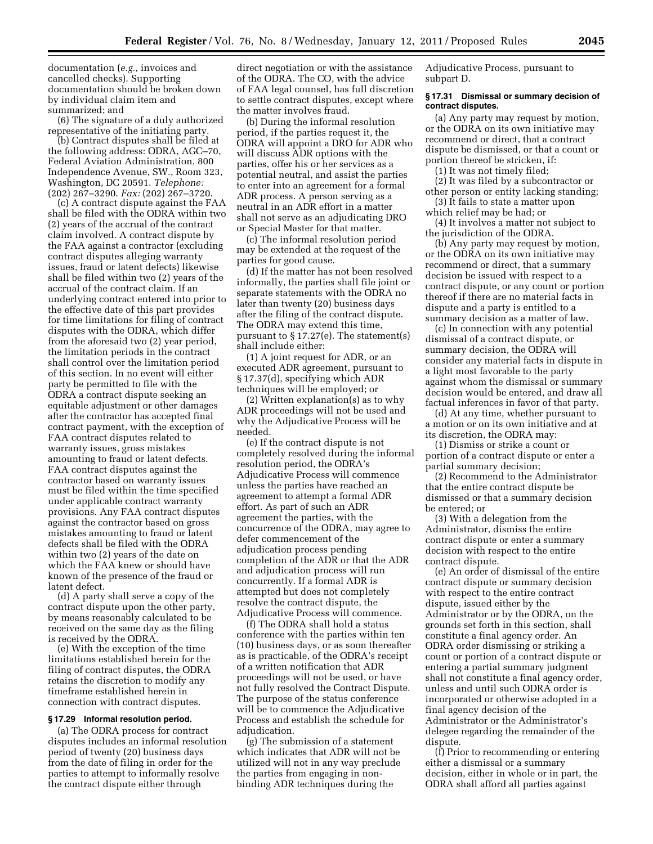documentation (*e.g.,* invoices and cancelled checks). Supporting documentation should be broken down by individual claim item and summarized; and

(6) The signature of a duly authorized representative of the initiating party.

(b) Contract disputes shall be filed at the following address: ODRA, AGC–70, Federal Aviation Administration, 800 Independence Avenue, SW., Room 323, Washington, DC 20591. *Telephone:*  (202) 267–3290. *Fax:* (202) 267–3720.

(c) A contract dispute against the FAA shall be filed with the ODRA within two (2) years of the accrual of the contract claim involved. A contract dispute by the FAA against a contractor (excluding contract disputes alleging warranty issues, fraud or latent defects) likewise shall be filed within two (2) years of the accrual of the contract claim. If an underlying contract entered into prior to the effective date of this part provides for time limitations for filing of contract disputes with the ODRA, which differ from the aforesaid two (2) year period, the limitation periods in the contract shall control over the limitation period of this section. In no event will either party be permitted to file with the ODRA a contract dispute seeking an equitable adjustment or other damages after the contractor has accepted final contract payment, with the exception of FAA contract disputes related to warranty issues, gross mistakes amounting to fraud or latent defects. FAA contract disputes against the contractor based on warranty issues must be filed within the time specified under applicable contract warranty provisions. Any FAA contract disputes against the contractor based on gross mistakes amounting to fraud or latent defects shall be filed with the ODRA within two (2) years of the date on which the FAA knew or should have known of the presence of the fraud or latent defect.

(d) A party shall serve a copy of the contract dispute upon the other party, by means reasonably calculated to be received on the same day as the filing is received by the ODRA.

(e) With the exception of the time limitations established herein for the filing of contract disputes, the ODRA retains the discretion to modify any timeframe established herein in connection with contract disputes.

## **§ 17.29 Informal resolution period.**

(a) The ODRA process for contract disputes includes an informal resolution period of twenty (20) business days from the date of filing in order for the parties to attempt to informally resolve the contract dispute either through

direct negotiation or with the assistance of the ODRA. The CO, with the advice of FAA legal counsel, has full discretion to settle contract disputes, except where the matter involves fraud.

(b) During the informal resolution period, if the parties request it, the ODRA will appoint a DRO for ADR who will discuss ADR options with the parties, offer his or her services as a potential neutral, and assist the parties to enter into an agreement for a formal ADR process. A person serving as a neutral in an ADR effort in a matter shall not serve as an adjudicating DRO or Special Master for that matter.

(c) The informal resolution period may be extended at the request of the parties for good cause.

(d) If the matter has not been resolved informally, the parties shall file joint or separate statements with the ODRA no later than twenty (20) business days after the filing of the contract dispute. The ODRA may extend this time, pursuant to § 17.27(e). The statement(s) shall include either:

(1) A joint request for ADR, or an executed ADR agreement, pursuant to § 17.37(d), specifying which ADR techniques will be employed; or

(2) Written explanation(s) as to why ADR proceedings will not be used and why the Adjudicative Process will be needed.

(e) If the contract dispute is not completely resolved during the informal resolution period, the ODRA's Adjudicative Process will commence unless the parties have reached an agreement to attempt a formal ADR effort. As part of such an ADR agreement the parties, with the concurrence of the ODRA, may agree to defer commencement of the adjudication process pending completion of the ADR or that the ADR and adjudication process will run concurrently. If a formal ADR is attempted but does not completely resolve the contract dispute, the Adjudicative Process will commence.

(f) The ODRA shall hold a status conference with the parties within ten (10) business days, or as soon thereafter as is practicable, of the ODRA's receipt of a written notification that ADR proceedings will not be used, or have not fully resolved the Contract Dispute. The purpose of the status conference will be to commence the Adjudicative Process and establish the schedule for adjudication.

(g) The submission of a statement which indicates that ADR will not be utilized will not in any way preclude the parties from engaging in nonbinding ADR techniques during the

Adjudicative Process, pursuant to subpart D.

### **§ 17.31 Dismissal or summary decision of contract disputes.**

(a) Any party may request by motion, or the ODRA on its own initiative may recommend or direct, that a contract dispute be dismissed, or that a count or portion thereof be stricken, if:

(1) It was not timely filed;

(2) It was filed by a subcontractor or other person or entity lacking standing;

(3) It fails to state a matter upon which relief may be had; or

(4) It involves a matter not subject to the jurisdiction of the ODRA.

(b) Any party may request by motion, or the ODRA on its own initiative may recommend or direct, that a summary decision be issued with respect to a contract dispute, or any count or portion thereof if there are no material facts in dispute and a party is entitled to a summary decision as a matter of law.

(c) In connection with any potential dismissal of a contract dispute, or summary decision, the ODRA will consider any material facts in dispute in a light most favorable to the party against whom the dismissal or summary decision would be entered, and draw all factual inferences in favor of that party.

(d) At any time, whether pursuant to a motion or on its own initiative and at its discretion, the ODRA may:

(1) Dismiss or strike a count or portion of a contract dispute or enter a partial summary decision;

(2) Recommend to the Administrator that the entire contract dispute be dismissed or that a summary decision be entered; or

(3) With a delegation from the Administrator, dismiss the entire contract dispute or enter a summary decision with respect to the entire contract dispute.

(e) An order of dismissal of the entire contract dispute or summary decision with respect to the entire contract dispute, issued either by the Administrator or by the ODRA, on the grounds set forth in this section, shall constitute a final agency order. An ODRA order dismissing or striking a count or portion of a contract dispute or entering a partial summary judgment shall not constitute a final agency order, unless and until such ODRA order is incorporated or otherwise adopted in a final agency decision of the Administrator or the Administrator's delegee regarding the remainder of the dispute.

(f) Prior to recommending or entering either a dismissal or a summary decision, either in whole or in part, the ODRA shall afford all parties against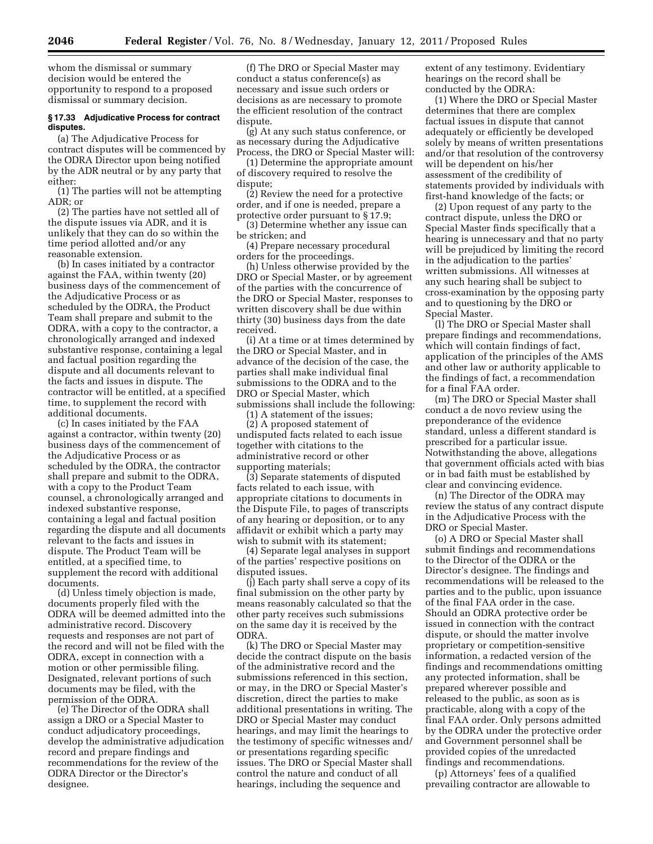whom the dismissal or summary decision would be entered the opportunity to respond to a proposed dismissal or summary decision.

## **§ 17.33 Adjudicative Process for contract disputes.**

(a) The Adjudicative Process for contract disputes will be commenced by the ODRA Director upon being notified by the ADR neutral or by any party that either:

(1) The parties will not be attempting ADR; or

(2) The parties have not settled all of the dispute issues via ADR, and it is unlikely that they can do so within the time period allotted and/or any reasonable extension.

(b) In cases initiated by a contractor against the FAA, within twenty (20) business days of the commencement of the Adjudicative Process or as scheduled by the ODRA, the Product Team shall prepare and submit to the ODRA, with a copy to the contractor, a chronologically arranged and indexed substantive response, containing a legal and factual position regarding the dispute and all documents relevant to the facts and issues in dispute. The contractor will be entitled, at a specified time, to supplement the record with additional documents.

(c) In cases initiated by the FAA against a contractor, within twenty (20) business days of the commencement of the Adjudicative Process or as scheduled by the ODRA, the contractor shall prepare and submit to the ODRA, with a copy to the Product Team counsel, a chronologically arranged and indexed substantive response, containing a legal and factual position regarding the dispute and all documents relevant to the facts and issues in dispute. The Product Team will be entitled, at a specified time, to supplement the record with additional documents.

(d) Unless timely objection is made, documents properly filed with the ODRA will be deemed admitted into the administrative record. Discovery requests and responses are not part of the record and will not be filed with the ODRA, except in connection with a motion or other permissible filing. Designated, relevant portions of such documents may be filed, with the permission of the ODRA.

(e) The Director of the ODRA shall assign a DRO or a Special Master to conduct adjudicatory proceedings, develop the administrative adjudication record and prepare findings and recommendations for the review of the ODRA Director or the Director's designee.

(f) The DRO or Special Master may conduct a status conference(s) as necessary and issue such orders or decisions as are necessary to promote the efficient resolution of the contract dispute.

(g) At any such status conference, or as necessary during the Adjudicative Process, the DRO or Special Master will:

(1) Determine the appropriate amount of discovery required to resolve the dispute;

(2) Review the need for a protective order, and if one is needed, prepare a protective order pursuant to § 17.9;

(3) Determine whether any issue can be stricken; and

(4) Prepare necessary procedural orders for the proceedings.

(h) Unless otherwise provided by the DRO or Special Master, or by agreement of the parties with the concurrence of the DRO or Special Master, responses to written discovery shall be due within thirty (30) business days from the date received.

(i) At a time or at times determined by the DRO or Special Master, and in advance of the decision of the case, the parties shall make individual final submissions to the ODRA and to the DRO or Special Master, which submissions shall include the following:

(1) A statement of the issues; (2) A proposed statement of undisputed facts related to each issue together with citations to the administrative record or other

supporting materials; (3) Separate statements of disputed facts related to each issue, with appropriate citations to documents in the Dispute File, to pages of transcripts

of any hearing or deposition, or to any affidavit or exhibit which a party may wish to submit with its statement; (4) Separate legal analyses in support

of the parties' respective positions on disputed issues.

(j) Each party shall serve a copy of its final submission on the other party by means reasonably calculated so that the other party receives such submissions on the same day it is received by the ODRA.

(k) The DRO or Special Master may decide the contract dispute on the basis of the administrative record and the submissions referenced in this section, or may, in the DRO or Special Master's discretion, direct the parties to make additional presentations in writing. The DRO or Special Master may conduct hearings, and may limit the hearings to the testimony of specific witnesses and/ or presentations regarding specific issues. The DRO or Special Master shall control the nature and conduct of all hearings, including the sequence and

extent of any testimony. Evidentiary hearings on the record shall be conducted by the ODRA:

(1) Where the DRO or Special Master determines that there are complex factual issues in dispute that cannot adequately or efficiently be developed solely by means of written presentations and/or that resolution of the controversy will be dependent on his/her assessment of the credibility of statements provided by individuals with first-hand knowledge of the facts; or

(2) Upon request of any party to the contract dispute, unless the DRO or Special Master finds specifically that a hearing is unnecessary and that no party will be prejudiced by limiting the record in the adjudication to the parties' written submissions. All witnesses at any such hearing shall be subject to cross-examination by the opposing party and to questioning by the DRO or Special Master.

(l) The DRO or Special Master shall prepare findings and recommendations, which will contain findings of fact, application of the principles of the AMS and other law or authority applicable to the findings of fact, a recommendation for a final FAA order.

(m) The DRO or Special Master shall conduct a de novo review using the preponderance of the evidence standard, unless a different standard is prescribed for a particular issue. Notwithstanding the above, allegations that government officials acted with bias or in bad faith must be established by clear and convincing evidence.

(n) The Director of the ODRA may review the status of any contract dispute in the Adjudicative Process with the DRO or Special Master.

(o) A DRO or Special Master shall submit findings and recommendations to the Director of the ODRA or the Director's designee. The findings and recommendations will be released to the parties and to the public, upon issuance of the final FAA order in the case. Should an ODRA protective order be issued in connection with the contract dispute, or should the matter involve proprietary or competition-sensitive information, a redacted version of the findings and recommendations omitting any protected information, shall be prepared wherever possible and released to the public, as soon as is practicable, along with a copy of the final FAA order. Only persons admitted by the ODRA under the protective order and Government personnel shall be provided copies of the unredacted findings and recommendations.

(p) Attorneys' fees of a qualified prevailing contractor are allowable to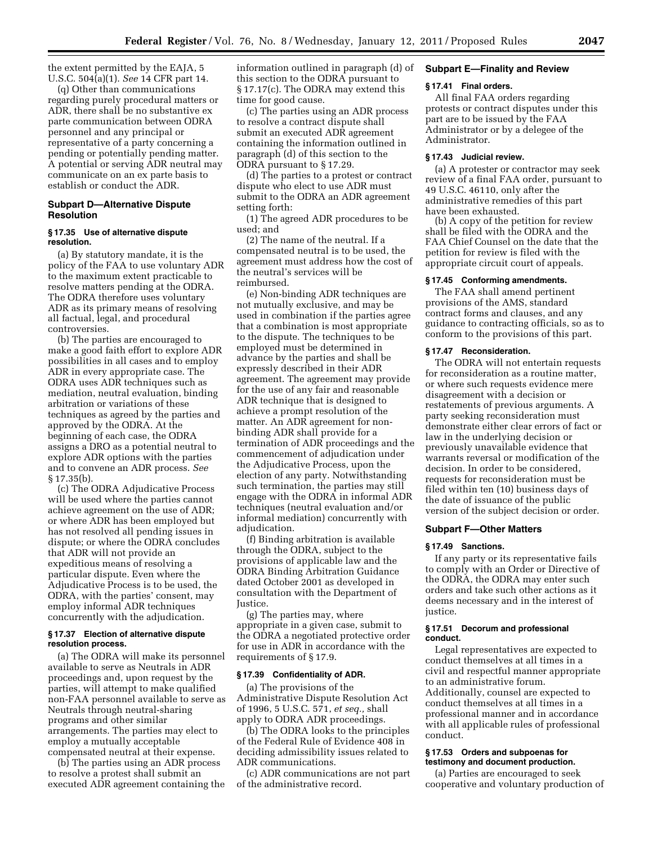the extent permitted by the EAJA, 5 U.S.C. 504(a)(1). *See* 14 CFR part 14.

(q) Other than communications regarding purely procedural matters or ADR, there shall be no substantive ex parte communication between ODRA personnel and any principal or representative of a party concerning a pending or potentially pending matter. A potential or serving ADR neutral may communicate on an ex parte basis to establish or conduct the ADR.

## **Subpart D—Alternative Dispute Resolution**

#### **§ 17.35 Use of alternative dispute resolution.**

(a) By statutory mandate, it is the policy of the FAA to use voluntary ADR to the maximum extent practicable to resolve matters pending at the ODRA. The ODRA therefore uses voluntary ADR as its primary means of resolving all factual, legal, and procedural controversies.

(b) The parties are encouraged to make a good faith effort to explore ADR possibilities in all cases and to employ ADR in every appropriate case. The ODRA uses ADR techniques such as mediation, neutral evaluation, binding arbitration or variations of these techniques as agreed by the parties and approved by the ODRA. At the beginning of each case, the ODRA assigns a DRO as a potential neutral to explore ADR options with the parties and to convene an ADR process. *See*  § 17.35(b).

(c) The ODRA Adjudicative Process will be used where the parties cannot achieve agreement on the use of ADR; or where ADR has been employed but has not resolved all pending issues in dispute; or where the ODRA concludes that ADR will not provide an expeditious means of resolving a particular dispute. Even where the Adjudicative Process is to be used, the ODRA, with the parties' consent, may employ informal ADR techniques concurrently with the adjudication.

## **§ 17.37 Election of alternative dispute resolution process.**

(a) The ODRA will make its personnel available to serve as Neutrals in ADR proceedings and, upon request by the parties, will attempt to make qualified non-FAA personnel available to serve as Neutrals through neutral-sharing programs and other similar arrangements. The parties may elect to employ a mutually acceptable compensated neutral at their expense.

(b) The parties using an ADR process to resolve a protest shall submit an executed ADR agreement containing the information outlined in paragraph (d) of this section to the ODRA pursuant to § 17.17(c). The ODRA may extend this time for good cause.

(c) The parties using an ADR process to resolve a contract dispute shall submit an executed ADR agreement containing the information outlined in paragraph (d) of this section to the ODRA pursuant to § 17.29.

(d) The parties to a protest or contract dispute who elect to use ADR must submit to the ODRA an ADR agreement setting forth:

(1) The agreed ADR procedures to be used; and

(2) The name of the neutral. If a compensated neutral is to be used, the agreement must address how the cost of the neutral's services will be reimbursed.

(e) Non-binding ADR techniques are not mutually exclusive, and may be used in combination if the parties agree that a combination is most appropriate to the dispute. The techniques to be employed must be determined in advance by the parties and shall be expressly described in their ADR agreement. The agreement may provide for the use of any fair and reasonable ADR technique that is designed to achieve a prompt resolution of the matter. An ADR agreement for nonbinding ADR shall provide for a termination of ADR proceedings and the commencement of adjudication under the Adjudicative Process, upon the election of any party. Notwithstanding such termination, the parties may still engage with the ODRA in informal ADR techniques (neutral evaluation and/or informal mediation) concurrently with adjudication.

(f) Binding arbitration is available through the ODRA, subject to the provisions of applicable law and the ODRA Binding Arbitration Guidance dated October 2001 as developed in consultation with the Department of Justice.

(g) The parties may, where appropriate in a given case, submit to the ODRA a negotiated protective order for use in ADR in accordance with the requirements of § 17.9.

### **§ 17.39 Confidentiality of ADR.**

(a) The provisions of the Administrative Dispute Resolution Act of 1996, 5 U.S.C. 571, *et seq.,* shall apply to ODRA ADR proceedings.

(b) The ODRA looks to the principles of the Federal Rule of Evidence 408 in deciding admissibility issues related to ADR communications.

(c) ADR communications are not part of the administrative record.

## **Subpart E—Finality and Review**

# **§ 17.41 Final orders.**

All final FAA orders regarding protests or contract disputes under this part are to be issued by the FAA Administrator or by a delegee of the Administrator.

# **§ 17.43 Judicial review.**

(a) A protester or contractor may seek review of a final FAA order, pursuant to 49 U.S.C. 46110, only after the administrative remedies of this part have been exhausted.

(b) A copy of the petition for review shall be filed with the ODRA and the FAA Chief Counsel on the date that the petition for review is filed with the appropriate circuit court of appeals.

## **§ 17.45 Conforming amendments.**

The FAA shall amend pertinent provisions of the AMS, standard contract forms and clauses, and any guidance to contracting officials, so as to conform to the provisions of this part.

## **§ 17.47 Reconsideration.**

The ODRA will not entertain requests for reconsideration as a routine matter, or where such requests evidence mere disagreement with a decision or restatements of previous arguments. A party seeking reconsideration must demonstrate either clear errors of fact or law in the underlying decision or previously unavailable evidence that warrants reversal or modification of the decision. In order to be considered, requests for reconsideration must be filed within ten (10) business days of the date of issuance of the public version of the subject decision or order.

#### **Subpart F—Other Matters**

#### **§ 17.49 Sanctions.**

If any party or its representative fails to comply with an Order or Directive of the ODRA, the ODRA may enter such orders and take such other actions as it deems necessary and in the interest of justice.

## **§ 17.51 Decorum and professional conduct.**

Legal representatives are expected to conduct themselves at all times in a civil and respectful manner appropriate to an administrative forum. Additionally, counsel are expected to conduct themselves at all times in a professional manner and in accordance with all applicable rules of professional conduct.

#### **§ 17.53 Orders and subpoenas for testimony and document production.**

(a) Parties are encouraged to seek cooperative and voluntary production of